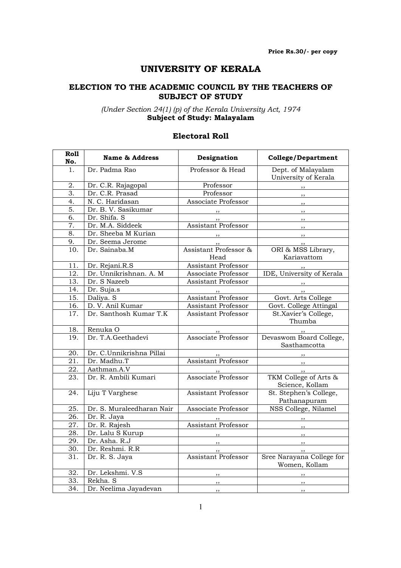## UNIVERSITY OF KERALA

#### ELECTION TO THE ACADEMIC COUNCIL BY THE TEACHERS OF SUBJECT OF STUDY

(Under Section 24(1) (p) of the Kerala University Act, 1974 Subject of Study: Malayalam

#### Electoral Roll

| Roll<br>No.       | <b>Name &amp; Address</b> | Designation                | <b>College/Department</b>                           |
|-------------------|---------------------------|----------------------------|-----------------------------------------------------|
| 1.                | Dr. Padma Rao             | Professor & Head           | Dept. of Malayalam                                  |
|                   |                           |                            | University of Kerala                                |
| 2.                | Dr. C.R. Rajagopal        | Professor                  | $, \, \, \cdot$                                     |
| 3.                | Dr. C.R. Prasad           | Professor                  | ,,                                                  |
| 4.                | N. C. Haridasan           | Associate Professor        | , ,                                                 |
| 5.                | Dr. B. V. Sasikumar       | $,$ ,                      |                                                     |
| 6.                | Dr. Shifa. S              | $\frac{1}{2}$              |                                                     |
| $\overline{7}$ .  | Dr. M.A. Siddeek          | <b>Assistant Professor</b> |                                                     |
| 8.                | Dr. Sheeba M Kurian       |                            |                                                     |
| 9.                | Dr. Seema Jerome          |                            |                                                     |
| 10.               | Dr. Sainaba.M             | Assistant Professor &      | ORI & MSS Library,                                  |
|                   |                           | Head                       | Kariavattom                                         |
| 11.               | Dr. Rejani.R.S            | <b>Assistant Professor</b> |                                                     |
| 12.               | Dr. Unnikrishnan. A. M    | Associate Professor        | IDE, University of Kerala                           |
| $\overline{13}$ . | Dr. S Nazeeb              | Assistant Professor        | $\overline{\phantom{a}}$                            |
| 14.               | Dr. Suja.s                |                            | , ,                                                 |
| 15.               | Daliya. S                 | Assistant Professor        | Govt. Arts College                                  |
| 16.               | D. V. Anil Kumar          | Assistant Professor        | Govt. College Attingal                              |
| 17.               | Dr. Santhosh Kumar T.K    | <b>Assistant Professor</b> | St.Xavier's College,                                |
|                   |                           |                            | Thumba                                              |
| 18.               | Renuka O                  |                            |                                                     |
| 19.               | Dr. T.A.Geethadevi        | Associate Professor        | Devaswom Board College,                             |
|                   |                           |                            | Sasthamcotta                                        |
| 20.               | Dr. C.Unnikrishna Pillai  |                            |                                                     |
| 21.               | Dr. Madhu.T               | Assistant Professor        | $\overline{\phantom{a}}$ , $\overline{\phantom{a}}$ |
| 22.               | Aathman.A.V               |                            |                                                     |
| 23.               | Dr. R. Ambili Kumari      | ,,<br>Associate Professor  | TKM College of Arts &                               |
|                   |                           |                            | Science, Kollam                                     |
| 24.               | Liju T Varghese           | Assistant Professor        | St. Stephen's College,                              |
|                   |                           |                            | Pathanapuram                                        |
| 25.               | Dr. S. Muraleedharan Nair | Associate Professor        | NSS College, Nilamel                                |
| 26.               | Dr. R. Jaya               | $\cdots$                   | $\overline{\phantom{a}}$                            |
| $27. \,$          | Dr. R. Rajesh             | <b>Assistant Professor</b> |                                                     |
| 28.               | Dr. Lalu S Kurup          | $\overline{\phantom{a}}$   | , 1                                                 |
| 29.               | Dr. Asha. R.J             | ,,                         | , ,                                                 |
| 30.               | Dr. Reshmi. R.R           |                            | , ,                                                 |
| 31.               | Dr. R. S. Jaya            | <b>Assistant Professor</b> | Sree Narayana College for                           |
|                   |                           |                            | Women, Kollam                                       |
| 32.               | Dr. Lekshmi. V.S          |                            | , ,                                                 |
| 33.               | Rekha. S                  | , ,                        | , ,                                                 |
| $\overline{34}$ . | Dr. Neelima Jayadevan     | , ,                        | $, \,$                                              |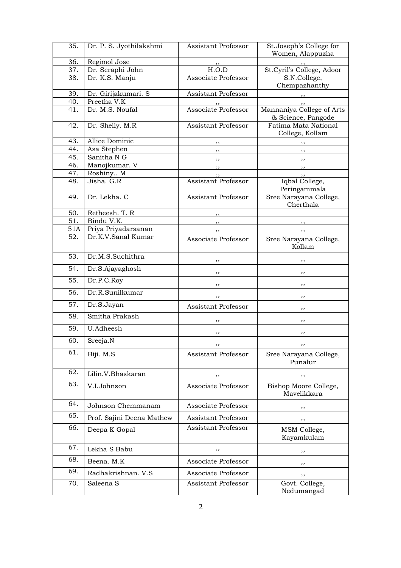| 35.        | Dr. P. S. Jyothilakshmi            | Assistant Professor        | St.Joseph's College for                 |
|------------|------------------------------------|----------------------------|-----------------------------------------|
| 36.        | Regimol Jose                       |                            | Women, Alappuzha                        |
| 37.        | Dr. Seraphi John                   | $, \,$<br>H.O.D            | St.Cyril's College, Adoor               |
| 38.        | Dr. K.S. Manju                     | Associate Professor        | S.N.College,                            |
|            |                                    |                            | Chempazhanthy                           |
| 39.<br>40. | Dr. Girijakumari. S<br>Preetha V.K | Assistant Professor        | $\overline{\phantom{a}}$                |
| 41.        | Dr. M.S. Noufal                    | Associate Professor        | ,,<br>Mannaniya College of Arts         |
|            |                                    |                            | & Science, Pangode                      |
| 42.        | Dr. Shelly. M.R                    | <b>Assistant Professor</b> | Fatima Mata National<br>College, Kollam |
| 43.        | Allice Dominic                     | $, \,$                     |                                         |
| 44.        | Asa Stephen                        | ,,                         | ,,                                      |
| 45.        | Sanitha N G                        | ,,                         | $, \,$                                  |
| 46.        | Manojkumar. V                      | $, \,$                     | , ,                                     |
| 47.        | Roshiny M                          |                            | ,,                                      |
| 48.        | Jisha. G.R                         | <b>Assistant Professor</b> | Iqbal College,<br>Peringammala          |
| 49.        | Dr. Lekha. C                       | <b>Assistant Professor</b> | Sree Narayana College,<br>Cherthala     |
| 50.        | Retheesh. T. R                     | $, \,$                     |                                         |
| 51.        | Bindu V.K.                         | ,,                         | ,,                                      |
| 51A        | Priya Priyadarsanan                | ,,                         | ,,                                      |
| 52.        | Dr.K.V.Sanal Kumar                 | Associate Professor        | Sree Narayana College,<br>Kollam        |
| 53.        | Dr.M.S.Suchithra                   | ,,                         | ,,                                      |
| 54.        | Dr.S.Ajayaghosh                    | ,,                         | ,,                                      |
| 55.        | Dr.P.C.Roy                         | ,,                         | ,,                                      |
| 56.        | Dr.R.Sunilkumar                    | , ,                        | ,,                                      |
| 57.        | Dr.S.Jayan                         | Assistant Professor        | ,,                                      |
| 58.        | Smitha Prakash                     |                            | ,,                                      |
| 59.        | U.Adheesh                          | ,,                         | ,,                                      |
| 60.        | Sreeja.N                           |                            |                                         |
| 61.        | Biji. M.S                          | Assistant Professor        | Sree Narayana College,<br>Punalur       |
| 62.        | Lilin.V.Bhaskaran                  | ,,                         | ,,                                      |
| 63.        | V.I.Johnson                        | Associate Professor        | Bishop Moore College,<br>Mavelikkara    |
| 64.        | Johnson Chemmanam                  | Associate Professor        | ,,                                      |
| 65.        | Prof. Sajini Deena Mathew          | Assistant Professor        | ,,                                      |
| 66.        | Deepa K Gopal                      | Assistant Professor        | MSM College,<br>Kayamkulam              |
| 67.        | Lekha S Babu                       | ,,                         | ,,                                      |
| 68.        | Beena. M.K                         | Associate Professor        | ,,                                      |
| 69.        | Radhakrishnan. V.S                 | Associate Professor        | ,,                                      |
| 70.        | Saleena S                          | Assistant Professor        | Govt. College,<br>Nedumangad            |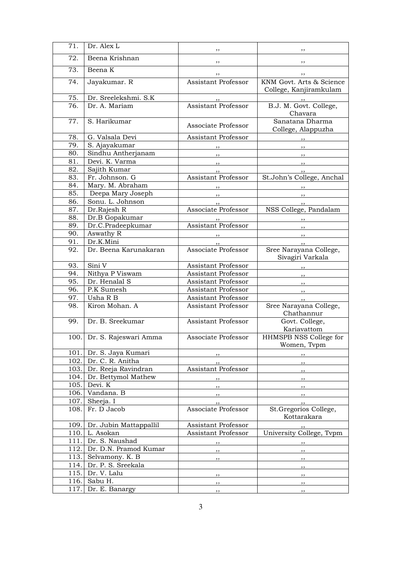| 71.  | Dr. Alex L                  | ,,                               | ,,                                                       |
|------|-----------------------------|----------------------------------|----------------------------------------------------------|
| 72.  | Beena Krishnan              | ,,                               | ,,                                                       |
| 73.  | Beena K                     |                                  |                                                          |
| 74.  | Jayakumar. R                | ,,<br><b>Assistant Professor</b> | ,,<br>KNM Govt. Arts & Science<br>College, Kanjiramkulam |
| 75.  | Dr. Sreelekshmi. S.K        | , ,                              |                                                          |
| 76.  | Dr. A. Mariam               | <b>Assistant Professor</b>       | B.J. M. Govt. College,<br>Chavara                        |
| 77.  | S. Harikumar                | Associate Professor              | Sanatana Dharma<br>College, Alappuzha                    |
| 78.  | G. Valsala Devi             | Assistant Professor              | $, \, \,$                                                |
| 79.  | S. Ajayakumar               |                                  |                                                          |
| 80.  | Sindhu Antherjanam          | $, \, \, \cdot$                  | $, \,$                                                   |
| 81.  | Devi. K. Varma              | $, \, \, \cdot$                  | , ,                                                      |
| 82.  | Sajith Kumar                |                                  | $, \,$                                                   |
| 83.  | Fr. Johnson. G              | Assistant Professor              | St.John's College, Anchal                                |
| 84.  | Mary. M. Abraham            |                                  |                                                          |
| 85.  | Deepa Mary Joseph           | $, \,$                           | ,,                                                       |
| 86.  | Sonu. L. Johnson            |                                  | ,,                                                       |
| 87.  | Dr.Rajesh R                 | Associate Professor              | NSS College, Pandalam                                    |
| 88.  | Dr.B Gopakumar              |                                  |                                                          |
| 89.  | Dr.C.Pradeepkumar           | <b>Assistant Professor</b>       | ,,                                                       |
| 90.  | Aswathy R                   |                                  | $\overline{\phantom{a}}$                                 |
| 91.  | Dr.K.Mini                   |                                  | , ,                                                      |
| 92.  | Dr. Beena Karunakaran       | Associate Professor              | Sree Narayana College,<br>Sivagiri Varkala               |
| 93.  | Sini V                      | Assistant Professor              | ,,                                                       |
| 94.  | Nithya P Viswam             | Assistant Professor              | , ,                                                      |
| 95.  | Dr. Henalal S               | Assistant Professor              | ,,                                                       |
| 96.  | P.K Sumesh                  | Assistant Professor              | ,,                                                       |
| 97.  | Usha R B                    | Assistant Professor              | ,,                                                       |
| 98.  | Kiron Mohan. A              | Assistant Professor              | Sree Narayana College,<br>Chathannur                     |
| 99.  | Dr. B. Sreekumar            | Assistant Professor              | Govt. College,<br>Kariavattom                            |
|      | 100. Dr. S. Rajeswari Amma  | Associate Professor              | HHMSPB NSS College for<br>Women, Tvpm                    |
|      | 101. Dr. S. Jaya Kumari     | ,,                               | ,,                                                       |
|      | 102. Dr. C. R. Anitha       | ,,                               | ,,                                                       |
|      | 103. Dr. Reeja Ravindran    | Assistant Professor              | ,,                                                       |
|      | 104. Dr. Bettymol Mathew    | , ,                              | , ,                                                      |
| 105. | Devi. K                     | ,,                               | ,,                                                       |
| 106. | Vandana. B                  | , ,                              | ,,                                                       |
| 107. | Sheeja. I                   | ,,                               | ,,                                                       |
| 108. | Fr. D Jacob                 | Associate Professor              | St.Gregorios College,<br>Kottarakara                     |
|      | 109. Dr. Jubin Mattappallil | Assistant Professor              | $, \, \,$                                                |
|      | 110. L. Asokan              | Assistant Professor              | University College, Tvpm                                 |
| 111. | Dr. S. Naushad              | ,,                               |                                                          |
| 112. | Dr. D.N. Pramod Kumar       | ,,                               | ,,                                                       |
| 113. | Selvamony. K. B             | ,,                               | ,,                                                       |
| 114. | Dr. P. S. Sreekala          |                                  | ,,                                                       |
|      | 115. Dr. V. Lalu            | ,,                               | ,,                                                       |
| 116. | Sabu H.                     | , ,                              | , ,                                                      |
| 117. | Dr. E. Banargy              | ,,                               | , ,                                                      |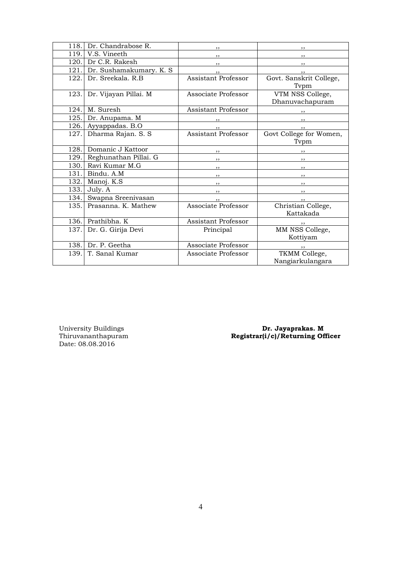| 118. | Dr. Chandrabose R.       | ,,                         | ,,                       |
|------|--------------------------|----------------------------|--------------------------|
| 119. | V.S. Vineeth             | ,,                         | ,,                       |
| 120. | Dr C.R. Rakesh           | ,,                         | ,,                       |
| 121. | Dr. Sushamakumary. K. S. | , ,                        | ,,                       |
| 122. | Dr. Sreekala, R.B.       | Assistant Professor        | Govt. Sanskrit College,  |
|      |                          |                            | Typm                     |
| 123. | Dr. Vijayan Pillai. M    | Associate Professor        | VTM NSS College,         |
|      |                          |                            | Dhanuvachapuram          |
| 124. | M. Suresh                | Assistant Professor        | $, \,$                   |
| 125. | Dr. Anupama. M           |                            | $\overline{\phantom{a}}$ |
| 126. | Ayyappadas. B.O          |                            |                          |
| 127. | Dharma Rajan. S. S       | <b>Assistant Professor</b> | Govt College for Women,  |
|      |                          |                            | Typm                     |
| 128. | Domanic J Kattoor        | ,,                         |                          |
| 129. | Reghunathan Pillai. G    | $, \,$                     | $\overline{\phantom{a}}$ |
| 130. | Ravi Kumar M.G           | $, \,$                     | $\overline{\phantom{a}}$ |
| 131. | Bindu. A.M               | ,,                         | $, \,$                   |
| 132. | Manoj. K.S               | $, \,$                     | $, \, \, \cdot$          |
| 133. | July. A                  | $, \,$                     | $\overline{\phantom{a}}$ |
| 134. | Swapna Sreenivasan       | ,,                         |                          |
| 135. | Prasanna, K. Mathew      | Associate Professor        | Christian College,       |
|      |                          |                            | Kattakada                |
| 136. | Prathibha. K             | <b>Assistant Professor</b> | ,,                       |
| 137. | Dr. G. Girija Devi       | Principal                  | MM NSS College,          |
|      |                          |                            | Kottiyam                 |
| 138. | Dr. P. Geetha            | Associate Professor        | ,,                       |
| 139. | T. Sanal Kumar           | Associate Professor        | TKMM College,            |
|      |                          |                            | Nangiarkulangara         |

University Buildings<br>Thiruvananthapuram<br>Date: 08.08.2016

University Buildings **Dr. Jayaprakas. M** Thiruvananthapuram Registrar(i/c)/Returning Officer